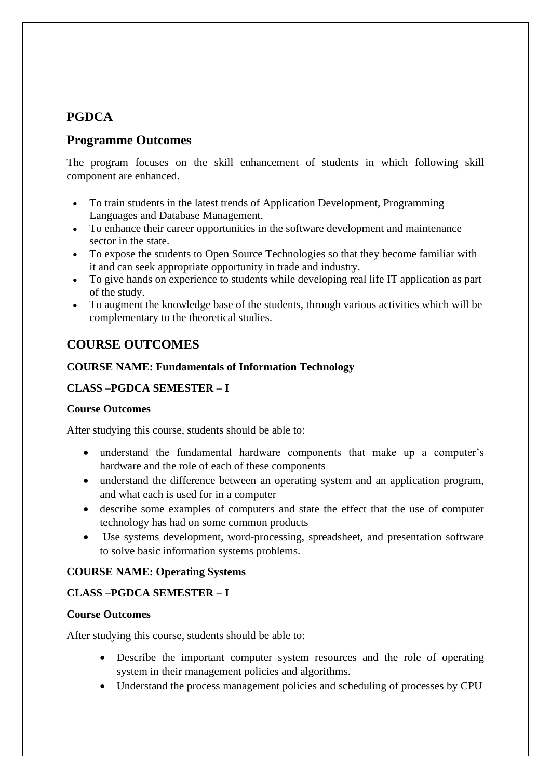# **PGDCA**

## **Programme Outcomes**

The program focuses on the skill enhancement of students in which following skill component are enhanced.

- To train students in the latest trends of Application Development, Programming Languages and Database Management.
- To enhance their career opportunities in the software development and maintenance sector in the state.
- To expose the students to Open Source Technologies so that they become familiar with it and can seek appropriate opportunity in trade and industry.
- To give hands on experience to students while developing real life IT application as part of the study.
- To augment the knowledge base of the students, through various activities which will be complementary to the theoretical studies.

# **COURSE OUTCOMES**

### **COURSE NAME: Fundamentals of Information Technology**

### **CLASS –PGDCA SEMESTER – I**

#### **Course Outcomes**

After studying this course, students should be able to:

- understand the fundamental hardware components that make up a computer's hardware and the role of each of these components
- understand the difference between an operating system and an application program, and what each is used for in a computer
- describe some examples of computers and state the effect that the use of computer technology has had on some common products
- Use systems development, word-processing, spreadsheet, and presentation software to solve basic information systems problems.

### **COURSE NAME: Operating Systems**

### **CLASS –PGDCA SEMESTER – I**

### **Course Outcomes**

After studying this course, students should be able to:

- Describe the important computer system resources and the role of operating system in their management policies and algorithms.
- Understand the process management policies and scheduling of processes by CPU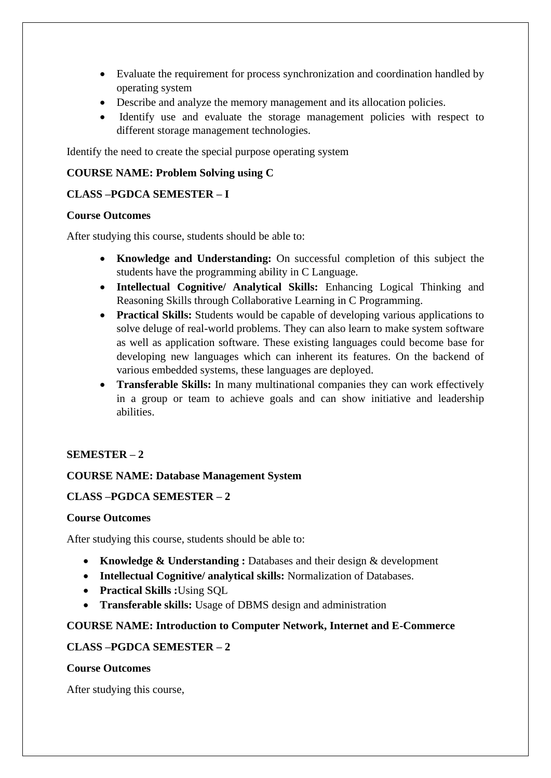- Evaluate the requirement for process synchronization and coordination handled by operating system
- Describe and analyze the memory management and its allocation policies.
- Identify use and evaluate the storage management policies with respect to different storage management technologies.

Identify the need to create the special purpose operating system

#### **COURSE NAME: Problem Solving using C**

### **CLASS –PGDCA SEMESTER – I**

#### **Course Outcomes**

After studying this course, students should be able to:

- **Knowledge and Understanding:** On successful completion of this subject the students have the programming ability in C Language.
- **Intellectual Cognitive/ Analytical Skills:** Enhancing Logical Thinking and Reasoning Skills through Collaborative Learning in C Programming.
- **Practical Skills:** Students would be capable of developing various applications to solve deluge of real-world problems. They can also learn to make system software as well as application software. These existing languages could become base for developing new languages which can inherent its features. On the backend of various embedded systems, these languages are deployed.
- **Transferable Skills:** In many multinational companies they can work effectively in a group or team to achieve goals and can show initiative and leadership abilities.

#### **SEMESTER – 2**

#### **COURSE NAME: Database Management System**

#### **CLASS –PGDCA SEMESTER – 2**

#### **Course Outcomes**

After studying this course, students should be able to:

- **Knowledge & Understanding :** Databases and their design & development
- **Intellectual Cognitive/ analytical skills:** Normalization of Databases.
- **Practical Skills :**Using SQL
- **Transferable skills:** Usage of DBMS design and administration

#### **COURSE NAME: Introduction to Computer Network, Internet and E-Commerce**

#### **CLASS –PGDCA SEMESTER – 2**

#### **Course Outcomes**

After studying this course,